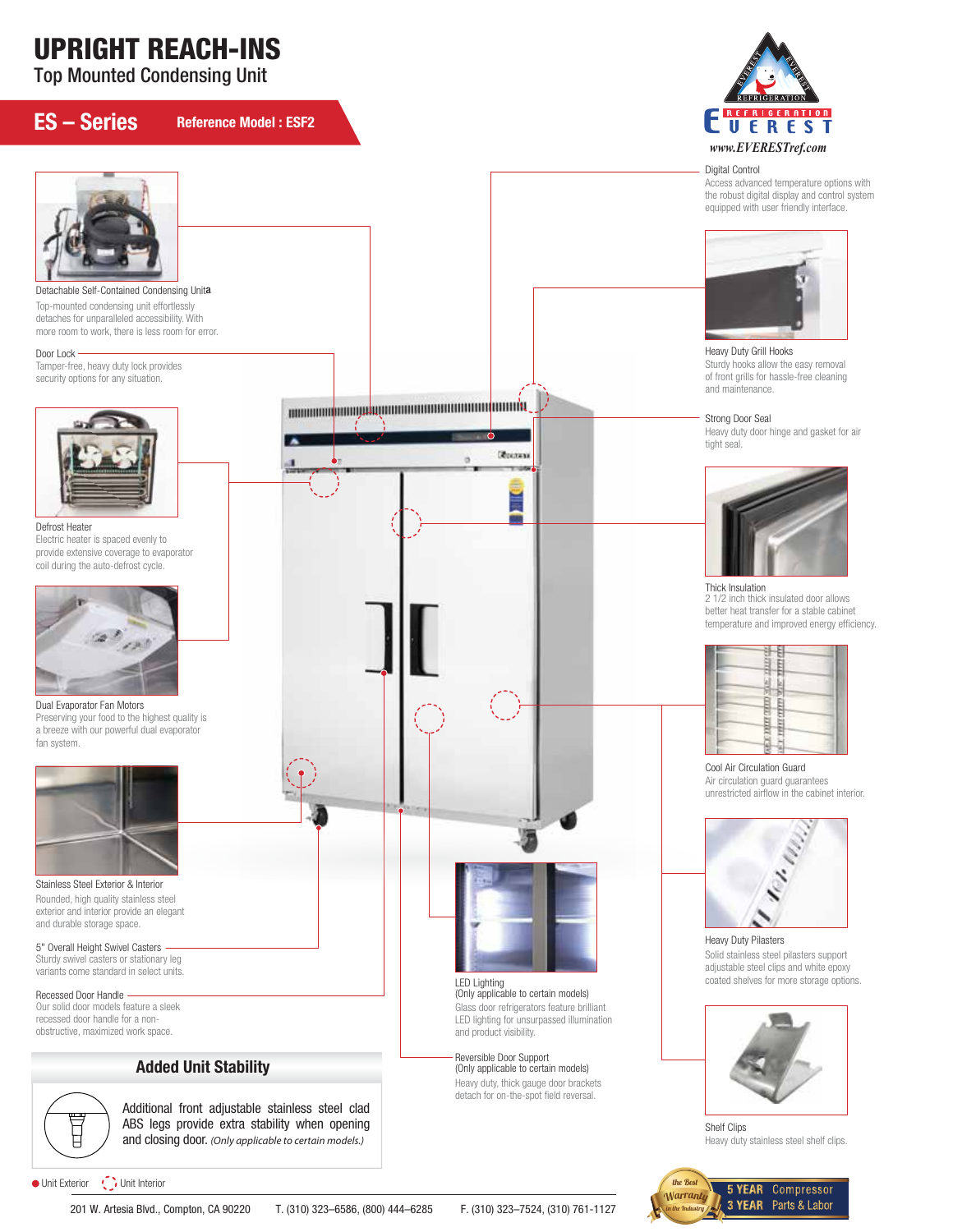# UPRIGHT REACH-INS

Top Mounted Condensing Unit

## ES – Series

Door Lock

Reference Model : ESF2



#### Digital Control

Access advanced temperature options with the robust digital display and control system equipped with user friendly interface.



Heavy Duty Grill Hooks Sturdy hooks allow the easy removal of front grills for hassle-free cleaning and maintenance.

#### Strong Door Seal

Heavy duty door hinge and gasket for air tight seal.



Thick Insulation 2 1/2 inch thick insulated door allows better heat transfer for a stable cabinet temperature and improved energy efficiency.



Cool Air Circulation Guard Air circulation guard guarantees unrestricted airflow in the cabinet interior.



Heavy Duty Pilasters Solid stainless steel pilasters support adjustable steel clips and white epoxy coated shelves for more storage options.



Shelf Clips Heavy duty stainless steel shelf clips.





fan system.

Stainless Steel Exterior & Interior Rounded, high quality stainless steel exterior and interior provide an elegant and durable storage space.

5" Overall Height Swivel Casters Sturdy swivel casters or stationary leg variants come standard in select units.

Recessed Door Handle -Our solid door models feature a sleek recessed door handle for a nonobstructive, maximized work space.

### Added Unit Stability

耳

Additional front adjustable stainless steel clad ABS legs provide extra stability when opening and closing door. *(Only applicable to certain models.)*

● Unit Exterior ● Unit Interior

201 W. Artesia Blvd., Compton, CA 90220 T. (310) 323–6586, (800) 444–6285 F. (310) 323–7524, (310) 761-1127

Reversible Door Support (Only applicable to certain models)

Heavy duty, thick gauge door brackets detach for on-the-spot field reversal.

and product visibility.

LED Lighting (Only applicable to certain models) Glass door refrigerators feature brilliant LED lighting for unsurpassed illumination

**Routen** 

ä

the Best **5 YEAR** Compressor **Warranty** 3 YEAR Parts & Labor in the Industry